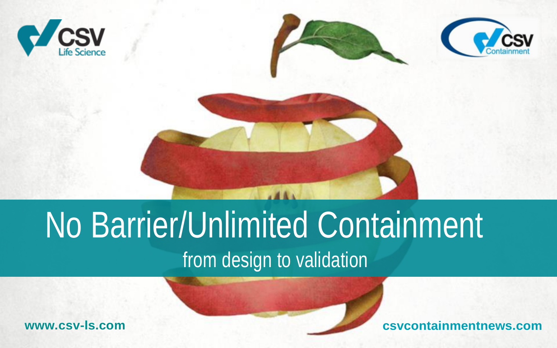





# No Barrier/Unlimited Containment

# from design to validation

**[www.csv-ls.com](http://www.csv-ls.com/) csvcontainments**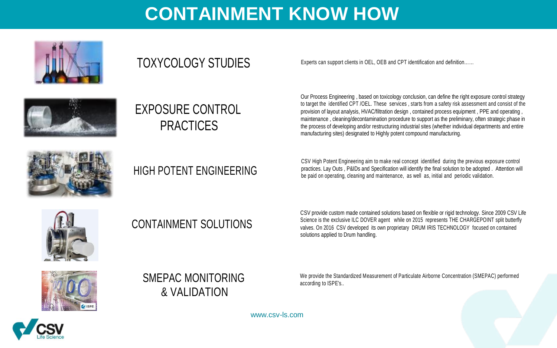### **CONTAINMENT KNOW HOW**





### EXPOSURE CONTROL PRACTICES

TOXYCOLOGY STUDIES Experts can support clients in OEL, OEB and CPT identification and definition......

Our Process Engineering , based on toxicology conclusion, can define the right exposure control strategy to target the identified CPT /OEL. These services , starts from a safety risk assessment and consist of the provision of layout analysis, HVAC/filtration design, contained process equipment , PPE and operating , maintenance , cleaning/decontamination procedure to support as the preliminary, often strategic phase in the process of developing and/or restructuring industrial sites (whether individual departments and entire manufacturing sites) designated to Highly potent compound manufacturing.



### HIGH POTENT ENGINEERING

CSV High Potent Engineering aim to make real concept identified during the previous exposure control practices. Lay Outs , P&IDs and Specification will identify the final solution to be adopted . Attention will be paid on operating, cleaning and maintenance, as well as, initial and periodic validation.



### CONTAINMENT SOLUTIONS

CSV provide custom made contained solutions based on flexible or rigid technology. Since 2009 CSV Life Science is the exclusive ILC DOVER agent while on 2015 represents THE CHARGEPOINT split butterfly valves. On 2016 CSV developed its own proprietary DRUM IRIS TECHNOLOGY focused on contained solutions applied to Drum handling.



### SMEPAC MONITORING & VALIDATION

We provide the Standardized Measurement of Particulate Airborne Concentration (SMEPAC) performed according to ISPE's..

[www.csv-ls.com](http://www.csv-ls.com/)

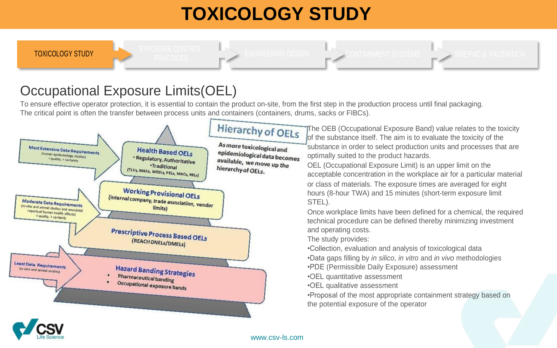### **TOXICOLOGY STUDY**



CONTAINMENT SYSTEMS SMEPAC & VALIDATION

### Occupational Exposure Limits(OEL)

To ensure effective operator protection, it is essential to contain the product on-site, from the first step in the production process until final packaging. The critical point is often the transfer between process units and containers (containers, drums, sacks or FIBCs).



[www.csv-ls.com](http://www.csv-ls.com/)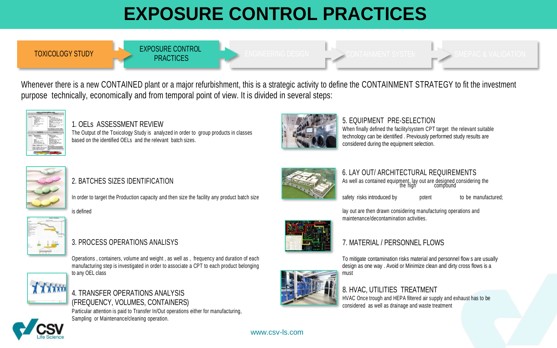# **EXPOSURE CONTROL PRACTICES**

TOXICOLOGY STUDY EXPOSURE CONTROL

**PRACTICES** ENGINEERING DESIGNACTICES

Whenever there is a new CONTAINED plant or a major refurbishment, this is a strategic activity to define the CONTAINMENT STRATEGY to fit the investment purpose technically, economically and from temporal point of view. It is divided in several steps:



#### 1. OELs ASSESSMENT REVIEW

The Output of the Toxicology Study is analyzed in order to group products in classes based on the identified OELs and the relevant batch sizes.



#### 5. EQUIPMENT PRE-SELECTION

When finally defined the facility/system CPT target the relevant suitable technology can be identified . Previously performed study results are considered during the equipment selection.



#### 2. BATCHES SIZES IDENTIFICATION

In order to target the Production capacity and then size the facility any product batch size safety safety risks introduced by potent to be manufactured;



#### 3. PROCESS OPERATIONS ANALISYS **1.2. PROCESS OPERATIONS ANALISYS** 7. MATERIAL / PERSONNEL FLOWS

Operations , containers, volume and weight , as well as , frequency and duration of each manufacturing step is investigated in order to associate a CPT to each product belonging to any OEL class



#### 4. TRANSFER OPERATIONS ANALYSIS (FREQUENCY, VOLUMES, CONTAINERS)

Particular attention is paid to Transfer In/Out operations either for manufacturing, Sampling or Maintenance/cleaning operation.



### As well as contained equipment, lay out are designed considering the<br>the high the compound 6. LAY OUT/ ARCHITECTURAL REQUIREMENTS

is defined lay out are then drawn considering manufacturing operations and maintenance/decontamination activities.



To mitigate contamination risks material and personnel flow s are usually design as one way . Avoid or Minimize clean and dirty cross flows is a must

### 8. HVAC, UTILITIES TREATMENT

HVAC Once trough and HEPA filtered air supply and exhaust has to be considered as well as drainage and waste treatment

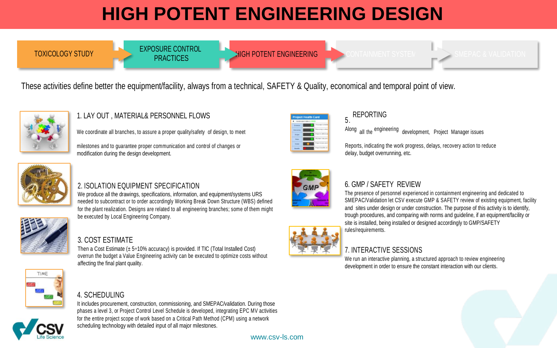# **HIGH POTENT ENGINEERING DESIGN**

TOXICOLOGY STUDY EXPOSURE CONTROL **PRACTICES** 

HIGH POTENT ENGINEERING

 $>$  SMEPAC & VALIDATIO

These activities define better the equipment/facility, always from a technical, SAFETY & Quality, economical and temporal point of view.



#### 1. LAY OUT , MATERIAL& PERSONNEL FLOWS

We coordinate all branches, to assure a proper quality/safety of design, to meet

milestones and to guarantee proper communication and control of changes or modification during the design development.



### 5 .

Along all the engineering development. Project Manager issues

Reports, indicating the work progress, delays, recovery action to reduce delay, budget overrunning, etc.



#### 2. ISOLATION EQUIPMENT SPECIFICATION

We produce all the drawings, specifications, information, and equipment/systems URS needed to subcontract or to order accordingly Working Break Down Structure (WBS) defined for the plant realization. Designs are related to all engineering branches; some of them might be executed by Local Engineering Company.



#### 3. COST ESTIMATE

Then a Cost Estimate (± 5÷10% accuracy) is provided. If TIC (Total Installed Cost) overrun the budget a Value Engineering activity can be executed to optimize costs without affecting the final plant quality.

#### 4. SCHEDULING

It includes procurement, construction, commissioning, and SMEPAC/validation. During those phases a level 3, or Project Control Level Schedule is developed, integrating EPC MV activities for the entire project scope of work based on a Critical Path Method (CPM) using a network scheduling technology with detailed input of all major milestones.



#### 6. GMP / SAFETY REVIEW

The presence of personnel experienced in containment engineering and dedicated to SMEPAC/Validation let CSV execute GMP & SAFETY review of existing equipment, facility and sites under design or under construction. The purpose of this activity is to identify, trough procedures, and comparing with norms and guideline, if an equipment/facility or site is installed, being installed or designed accordingly to GMP/SAFETY rules/requirements.

#### 7. INTERACTIVE SESSIONS

We run an interactive planning, a structured approach to review engineering development in order to ensure the constant interaction with our clients.

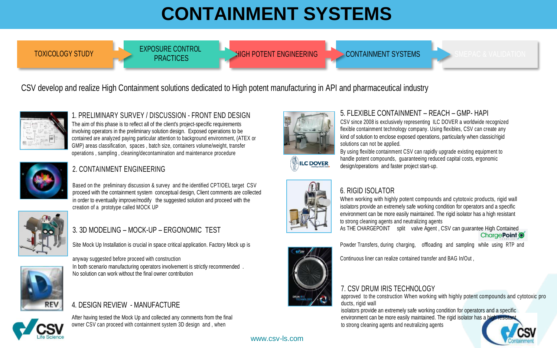# **CONTAINMENT SYSTEMS**

TOXICOLOGY STUDY EXPOSURE CONTROL **PRACTICES** 

**HIGH POTENT ENGINEERING CONTAINMENT SYSTEMS** SMEPAC & VALIDATION

#### CSV develop and realize High Containment solutions dedicated to High potent manufacturing in API and pharmaceutical industry



1. PRELIMINARY SURVEY / DISCUSSION - FRONT END DESIGN The aim of this phase is to reflect all of the client's project-specific requirements involving operators in the preliminary solution design. Exposed operations to be contained are analyzed paying particular attention to background environment, (ATEX or GMP) areas classification, spaces , batch size, containers volume/weight, transfer operations , sampling , cleaning/decontamination and maintenance procedure



#### 2. CONTAINMENT ENGINEERING

Based on the preliminary discussion & survey and the identified CPT/OEL target CSV proceed with the containment system conceptual design, Client comments are collected in order to eventually improve/modify the suggested solution and proceed with the creation of a prototype called MOCK UP



Site Mock Up Installation is crucial in space critical application. Factory Mock up is Powder Transfers, during charging, offloading and sampling while using RTP and

anyway suggested before proceed with construction In both scenario manufacturing operators involvement is strictly recommended . No solution can work without the final owner contribution



#### 4. DESIGN REVIEW - MANUFACTURE

After having tested the Mock Up and collected any comments from the final owner CSV can proceed with containment system 3D design and , when



#### 5. FLEXIBLE CONTAINMENT – REACH – GMP- HAPI

CSV since 2008 is exclusively representing ILC DOVER a worldwide recognized flexible containment technology company. Using flexibles, CSV can create any kind of solution to enclose exposed operations, particularly when classic/rigid solutions can not be applied. By using flexible containment CSV can rapidly upgrade existing equipment to

handle potent compounds, quaranteeing reduced capital costs, ergonomic **ILC DOVER** design/operations and faster project start-up.



#### 6. RIGID ISOLATOR

When working with highly potent compounds and cytotoxic products, rigid wall isolators provide an extremely safe working condition for operators and a specific environment can be more easily maintained. The rigid isolator has a high resistant to strong cleaning agents and neutralizing agents

3. 3D MODELING – MOCK-UP – ERGONOMIC TEST **As THE CHARGEPOINT** split valve Agent , CSV can guarantee High Contained



Continuous liner can realize contained transfer and BAG In/Out ,

#### 7. CSV DRUM IRIS TECHNOLOGY

approved to the construction When working with highly potent compounds and cytotoxic pro ducts, rigid wall

isolators provide an extremely safe working condition for operators and a specific environment can be more easily maintained. The rigid isolator has a high to strong cleaning agents and neutralizing agents

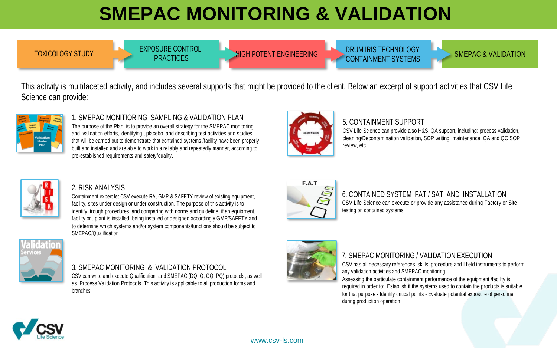# **SMEPAC MONITORING & VALIDATION**

TOXICOLOGY STUDY EXPOSURE CONTROL **PRACTICES** 

DRUM IRIS TECHNOLOGY<br>
SMEPAC & VALIDATION **HIGH POTENT ENGINEERING CONTAINMENT SYSTEMS** 

This activity is multifaceted activity, and includes several supports that might be provided to the client. Below an excerpt of support activities that CSV Life Science can provide:



1. SMEPAC MONITIORING SAMPLING & VALIDATION PLAN The purpose of the Plan is to provide an overall strategy for the SMEPAC monitoring and validation efforts, identifying , placebo and describing test activities and studies that will be carried out to demonstrate that contained systems /facility have been properly built and installed and are able to work in a reliably and repeatedly manner, according to pre-established requirements and safety/quality.



#### 5. CONTAINMENT SUPPORT

CSV Life Science can provide also H&S, QA support, including: process validation, cleaning/Decontamination validation, SOP writing, maintenance, QA and QC SOP review, etc.



#### 2. RISK ANALYSIS

Containment expert let CSV execute RA, GMP & SAFETY review of existing equipment, facility, sites under design or under construction. The purpose of this activity is to identify, trough procedures, and comparing with norms and quideline, if an equipment. facility or , plant is installed, being installed or designed accordingly GMP/SAFETY and to determine which systems and/or system components/functions should be subject to SMEPAC/Qualification



#### 3. SMEPAC MONITORING & VALIDATION PROTOCOL

CSV can write and execute Qualification and SMEPAC (DQ IQ, OQ, PQ) protocols, as well as Process Validation Protocols. This activity is applicable to all production forms and branches.



#### 6. CONTAINED SYSTEM FAT / SAT AND INSTALLATION CSV Life Science can execute or provide any assistance during Factory or Site testing on contained systems

#### 7. SMEPAC MONITORING / VALIDATION EXECUTION

CSV has all necessary references, skills, procedure and I field instruments to perform any validation activities and SMEPAC monitoring

Assessing the particulate containment performance of the equipment /facility is required in order to: Establish if the systems used to contain the products is suitable for that purpose - Identify critical points - Evaluate potential exposure of personnel during production operation



[www.csv-ls.com](http://www.csv-ls.com/)